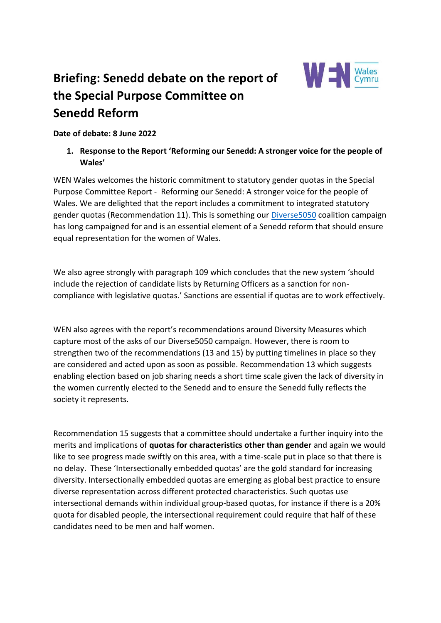

# **Briefing: Senedd debate on the report of the Special Purpose Committee on Senedd Reform**

**Date of debate: 8 June 2022**

**1. Response to the Report 'Reforming our Senedd: A stronger voice for the people of Wales'**

WEN Wales welcomes the historic commitment to statutory gender quotas in the Special Purpose Committee Report - Reforming our Senedd: A stronger voice for the people of Wales. We are delighted that the report includes a commitment to integrated statutory gender quotas (Recommendation 11). This is something our [Diverse5050](https://wenwales.org.uk/campaign/diverse5050/) coalition campaign has long campaigned for and is an essential element of a Senedd reform that should ensure equal representation for the women of Wales.

We also agree strongly with paragraph 109 which concludes that the new system 'should include the rejection of candidate lists by Returning Officers as a sanction for noncompliance with legislative quotas.' Sanctions are essential if quotas are to work effectively.

WEN also agrees with the report's recommendations around Diversity Measures which capture most of the asks of our Diverse5050 campaign. However, there is room to strengthen two of the recommendations (13 and 15) by putting timelines in place so they are considered and acted upon as soon as possible. Recommendation 13 which suggests enabling election based on job sharing needs a short time scale given the lack of diversity in the women currently elected to the Senedd and to ensure the Senedd fully reflects the society it represents.

Recommendation 15 suggests that a committee should undertake a further inquiry into the merits and implications of **quotas for characteristics other than gender** and again we would like to see progress made swiftly on this area, with a time-scale put in place so that there is no delay. These 'Intersectionally embedded quotas' are the gold standard for increasing diversity. Intersectionally embedded quotas are emerging as global best practice to ensure diverse representation across different protected characteristics. Such quotas use intersectional demands within individual group-based quotas, for instance if there is a 20% quota for disabled people, the intersectional requirement could require that half of these candidates need to be men and half women.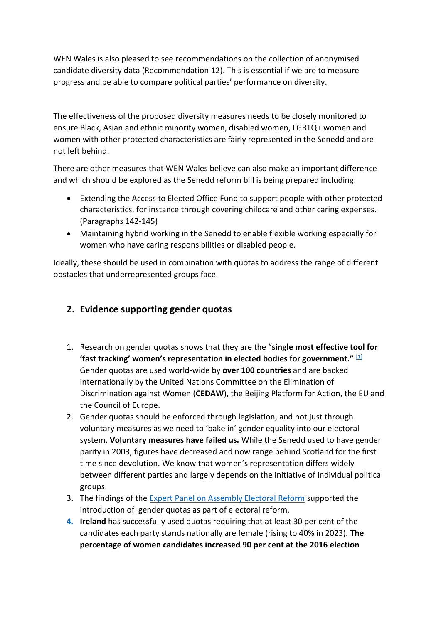WEN Wales is also pleased to see recommendations on the collection of anonymised candidate diversity data (Recommendation 12). This is essential if we are to measure progress and be able to compare political parties' performance on diversity.

The effectiveness of the proposed diversity measures needs to be closely monitored to ensure Black, Asian and ethnic minority women, disabled women, LGBTQ+ women and women with other protected characteristics are fairly represented in the Senedd and are not left behind.

There are other measures that WEN Wales believe can also make an important difference and which should be explored as the Senedd reform bill is being prepared including:

- Extending the Access to Elected Office Fund to support people with other protected characteristics, for instance through covering childcare and other caring expenses. (Paragraphs 142-145)
- Maintaining hybrid working in the Senedd to enable flexible working especially for women who have caring responsibilities or disabled people.

Ideally, these should be used in combination with quotas to address the range of different obstacles that underrepresented groups face.

## **2. Evidence supporting gender quotas**

- 1. Research on gender quotas shows that they are the "**single most effective tool for 'fast tracking' women's representation in elected bodies for government."** [\[1\]](https://ukc-word-edit.officeapps.live.com/we/wordeditorframe.aspx?ui=en%2DGB&rs=en%2DGB&wopisrc=https%3A%2F%2Fwenwales.sharepoint.com%2F_vti_bin%2Fwopi.ashx%2Ffiles%2F40f50341cff64b64b5dd60afd404feb5&wdprevioussession=32cd94b2%2De144%2D4999%2D8287%2Dd0eb1ccc258f&wdenableroaming=1&mscc=1&hid=AD0F43A0-C0A9-4000-39B3-27B21FEE2AAC&wdorigin=Other&jsapi=1&jsapiver=v1&newsession=1&corrid=a3299150-5341-4b04-b99b-0ec2afcdf062&usid=a3299150-5341-4b04-b99b-0ec2afcdf062&sftc=1&cac=1&mtf=1&sfp=1&instantedit=1&wopicomplete=1&wdredirectionreason=Unified_SingleFlush&rct=Medium&ctp=LeastProtected#_ftn1) Gender quotas are used world-wide by **over 100 countries** and are backed internationally by the United Nations Committee on the Elimination of Discrimination against Women (**CEDAW**), the Beijing Platform for Action, the EU and the Council of Europe.
- 2. Gender quotas should be enforced through legislation, and not just through voluntary measures as we need to 'bake in' gender equality into our electoral system. **Voluntary measures have failed us.** While the Senedd used to have gender parity in 2003, figures have decreased and now range behind Scotland for the first time since devolution. We know that women's representation differs widely between different parties and largely depends on the initiative of individual political groups.
- 3. The findings of the **Expert Panel on Assembly Electoral Reform** supported the introduction of gender quotas as part of electoral reform.
- **4. Ireland** has successfully used quotas requiring that at least 30 per cent of the candidates each party stands nationally are female (rising to 40% in 2023). **The percentage of women candidates increased 90 per cent at the 2016 election**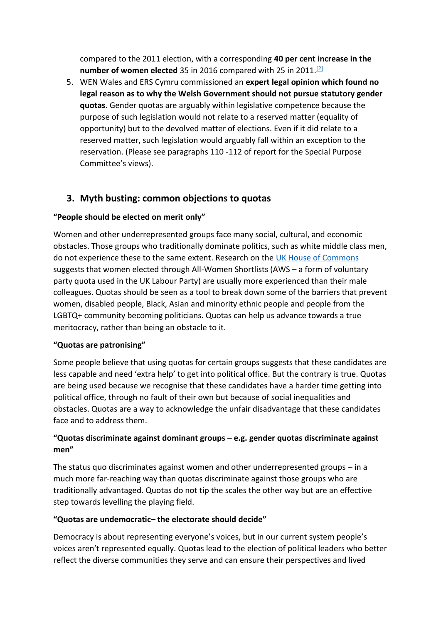compared to the 2011 election, with a corresponding **40 per cent increase in the**  number of women elected 35 in 2016 compared with 25 in 2011.<sup>[\[2\]](https://ukc-word-edit.officeapps.live.com/we/wordeditorframe.aspx?ui=en%2DGB&rs=en%2DGB&wopisrc=https%3A%2F%2Fwenwales.sharepoint.com%2F_vti_bin%2Fwopi.ashx%2Ffiles%2F40f50341cff64b64b5dd60afd404feb5&wdprevioussession=32cd94b2%2De144%2D4999%2D8287%2Dd0eb1ccc258f&wdenableroaming=1&mscc=1&hid=AD0F43A0-C0A9-4000-39B3-27B21FEE2AAC&wdorigin=Other&jsapi=1&jsapiver=v1&newsession=1&corrid=a3299150-5341-4b04-b99b-0ec2afcdf062&usid=a3299150-5341-4b04-b99b-0ec2afcdf062&sftc=1&cac=1&mtf=1&sfp=1&instantedit=1&wopicomplete=1&wdredirectionreason=Unified_SingleFlush&rct=Medium&ctp=LeastProtected#_ftn2)</sup>

5. WEN Wales and ERS Cymru commissioned an **expert legal opinion which found no legal reason as to why the Welsh Government should not pursue statutory gender quotas**. Gender quotas are arguably within legislative competence because the purpose of such legislation would not relate to a reserved matter (equality of opportunity) but to the devolved matter of elections. Even if it did relate to a reserved matter, such legislation would arguably fall within an exception to the reservation. (Please see paragraphs 110 -112 of report for the Special Purpose Committee's views).

## **3. Myth busting: common objections to quotas**

#### **"People should be elected on merit only"**

Women and other underrepresented groups face many social, cultural, and economic obstacles. Those groups who traditionally dominate politics, such as white middle class men, do not experience these to the same extent. Research on the [UK House of Commons](https://blogs.lse.ac.uk/politicsandpolicy/gender-quotas-do-not-pose-a-threat-to-merit-at-any-stage-of-the-political-process/) suggests that women elected through All-Women Shortlists (AWS – a form of voluntary party quota used in the UK Labour Party) are usually more experienced than their male colleagues. Quotas should be seen as a tool to break down some of the barriers that prevent women, disabled people, Black, Asian and minority ethnic people and people from the LGBTQ+ community becoming politicians. Quotas can help us advance towards a true meritocracy, rather than being an obstacle to it.

#### **"Quotas are patronising"**

Some people believe that using quotas for certain groups suggests that these candidates are less capable and need 'extra help' to get into political office. But the contrary is true. Quotas are being used because we recognise that these candidates have a harder time getting into political office, through no fault of their own but because of social inequalities and obstacles. Quotas are a way to acknowledge the unfair disadvantage that these candidates face and to address them.

## **"Quotas discriminate against dominant groups – e.g. gender quotas discriminate against men"**

The status quo discriminates against women and other underrepresented groups – in a much more far-reaching way than quotas discriminate against those groups who are traditionally advantaged. Quotas do not tip the scales the other way but are an effective step towards levelling the playing field.

#### **"Quotas are undemocratic– the electorate should decide"**

Democracy is about representing everyone's voices, but in our current system people's voices aren't represented equally. Quotas lead to the election of political leaders who better reflect the diverse communities they serve and can ensure their perspectives and lived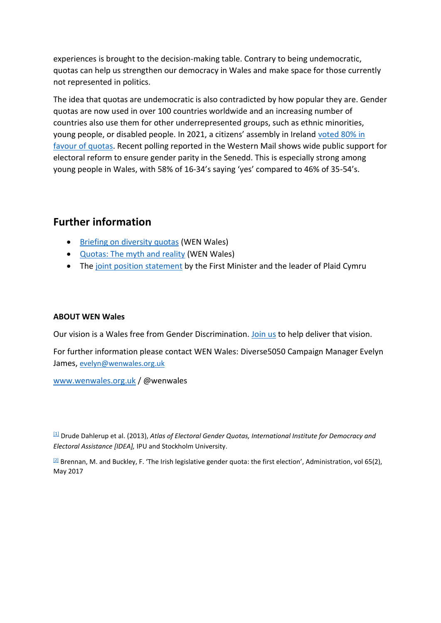experiences is brought to the decision-making table. Contrary to being undemocratic, quotas can help us strengthen our democracy in Wales and make space for those currently not represented in politics.

The idea that quotas are undemocratic is also contradicted by how popular they are. Gender quotas are now used in over 100 countries worldwide and an increasing number of countries also use them for other underrepresented groups, such as ethnic minorities, young people, or disabled people. In 2021, a citizens' assembly in Ireland [voted 80% in](https://www.citizensassembly.ie/en/about-the-citizens-assembly/meetings/the-citizens-assembly-publishes-final-report-on-gender-equality/final-report.pdf)  [favour of quotas.](https://www.citizensassembly.ie/en/about-the-citizens-assembly/meetings/the-citizens-assembly-publishes-final-report-on-gender-equality/final-report.pdf) Recent polling reported in the Western Mail shows wide public support for electoral reform to ensure gender parity in the Senedd. This is especially strong among young people in Wales, with 58% of 16-34's saying 'yes' compared to 46% of 35-54's.

# **Further information**

- [Briefing on diversity quotas](https://wenwales.org.uk/wp-content/uploads/2022/02/DiversityQuotas.WenWales.Final_.pdf) (WEN Wales)
- [Quotas: The myth and reality](https://wenwales.org.uk/quotas-the-myth-and-reality/) (WEN Wales)
- The [joint position statement](https://gov.wales/a-way-forward-for-senedd-reform) by the First Minister and the leader of Plaid Cymru

#### **ABOUT WEN Wales**

Our vision is a Wales free from Gender Discrimination. [Join us](http://www.wenwales.org.uk/join-us/) to help deliver that vision.

For further information please contact WEN Wales: Diverse5050 Campaign Manager Evelyn James, [evelyn@wenwales.org.uk](mailto:evelyn@wenwales.org.uk)

[www.wenwales.org.uk](http://www.wenwales.org.uk/) / @wenwales

[\[1\]](https://ukc-word-edit.officeapps.live.com/we/wordeditorframe.aspx?ui=en%2DGB&rs=en%2DGB&wopisrc=https%3A%2F%2Fwenwales.sharepoint.com%2F_vti_bin%2Fwopi.ashx%2Ffiles%2F40f50341cff64b64b5dd60afd404feb5&wdprevioussession=32cd94b2%2De144%2D4999%2D8287%2Dd0eb1ccc258f&wdenableroaming=1&mscc=1&hid=AD0F43A0-C0A9-4000-39B3-27B21FEE2AAC&wdorigin=Other&jsapi=1&jsapiver=v1&newsession=1&corrid=a3299150-5341-4b04-b99b-0ec2afcdf062&usid=a3299150-5341-4b04-b99b-0ec2afcdf062&sftc=1&cac=1&mtf=1&sfp=1&instantedit=1&wopicomplete=1&wdredirectionreason=Unified_SingleFlush&rct=Medium&ctp=LeastProtected#_ftnref1) Drude Dahlerup et al. (2013), *Atlas of Electoral Gender Quotas, International Institute for Democracy and Electoral Assistance [IDEA],* IPU and Stockholm University.

 $\frac{[2]}{]}$  $\frac{[2]}{]}$  $\frac{[2]}{]}$  Brennan, M. and Buckley, F. 'The Irish legislative gender quota: the first election', Administration, vol 65(2), May 2017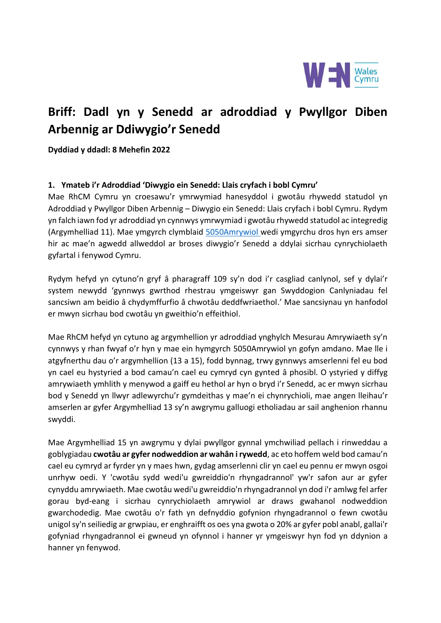

# **Briff: Dadl yn y Senedd ar adroddiad y Pwyllgor Diben Arbennig ar Ddiwygio'r Senedd**

**Dyddiad y ddadl: 8 Mehefin 2022**

#### **1. Ymateb i'r Adroddiad 'Diwygio ein Senedd: Llais cryfach i bobl Cymru'**

Mae RhCM Cymru yn croesawu'r ymrwymiad hanesyddol i gwotâu rhywedd statudol yn Adroddiad y Pwyllgor Diben Arbennig – Diwygio ein Senedd: Llais cryfach i bobl Cymru. Rydym yn falch iawn fod yr adroddiad yn cynnwys ymrwymiad i gwotâu rhywedd statudol ac integredig (Argymhelliad 11). Mae ymgyrch clymblaid [5050Amrywiol](https://wenwales.org.uk/campaign/diverse5050/) wedi ymgyrchu dros hyn ers amser hir ac mae'n agwedd allweddol ar broses diwygio'r Senedd a ddylai sicrhau cynrychiolaeth gyfartal i fenywod Cymru.

Rydym hefyd yn cytuno'n gryf â pharagraff 109 sy'n dod i'r casgliad canlynol, sef y dylai'r system newydd 'gynnwys gwrthod rhestrau ymgeiswyr gan Swyddogion Canlyniadau fel sancsiwn am beidio â chydymffurfio â chwotâu deddfwriaethol.' Mae sancsiynau yn hanfodol er mwyn sicrhau bod cwotâu yn gweithio'n effeithiol.

Mae RhCM hefyd yn cytuno ag argymhellion yr adroddiad ynghylch Mesurau Amrywiaeth sy'n cynnwys y rhan fwyaf o'r hyn y mae ein hymgyrch 5050Amrywiol yn gofyn amdano. Mae lle i atgyfnerthu dau o'r argymhellion (13 a 15), fodd bynnag, trwy gynnwys amserlenni fel eu bod yn cael eu hystyried a bod camau'n cael eu cymryd cyn gynted â phosibl. O ystyried y diffyg amrywiaeth ymhlith y menywod a gaiff eu hethol ar hyn o bryd i'r Senedd, ac er mwyn sicrhau bod y Senedd yn llwyr adlewyrchu'r gymdeithas y mae'n ei chynrychioli, mae angen lleihau'r amserlen ar gyfer Argymhelliad 13 sy'n awgrymu galluogi etholiadau ar sail anghenion rhannu swyddi.

Mae Argymhelliad 15 yn awgrymu y dylai pwyllgor gynnal ymchwiliad pellach i rinweddau a goblygiadau **cwotâu ar gyfer nodweddion ar wahân i rywedd**, ac eto hoffem weld bod camau'n cael eu cymryd ar fyrder yn y maes hwn, gydag amserlenni clir yn cael eu pennu er mwyn osgoi unrhyw oedi. Y 'cwotâu sydd wedi'u gwreiddio'n rhyngadrannol' yw'r safon aur ar gyfer cynyddu amrywiaeth. Mae cwotâu wedi'u gwreiddio'n rhyngadrannol yn dod i'r amlwg fel arfer gorau byd-eang i sicrhau cynrychiolaeth amrywiol ar draws gwahanol nodweddion gwarchodedig. Mae cwotâu o'r fath yn defnyddio gofynion rhyngadrannol o fewn cwotâu unigol sy'n seiliedig ar grwpiau, er enghraifft os oes yna gwota o 20% ar gyfer pobl anabl, gallai'r gofyniad rhyngadrannol ei gwneud yn ofynnol i hanner yr ymgeiswyr hyn fod yn ddynion a hanner yn fenywod.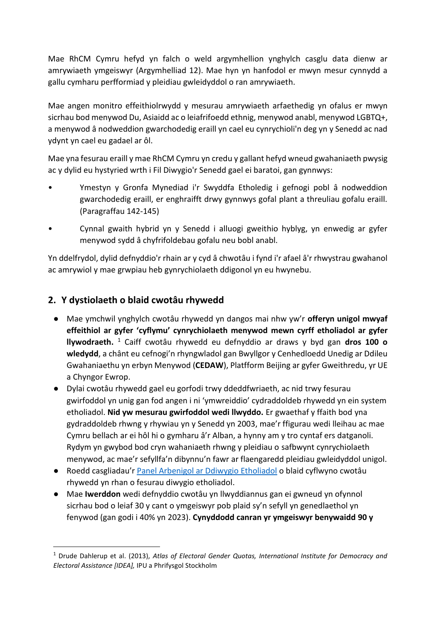Mae RhCM Cymru hefyd yn falch o weld argymhellion ynghylch casglu data dienw ar amrywiaeth ymgeiswyr (Argymhelliad 12). Mae hyn yn hanfodol er mwyn mesur cynnydd a gallu cymharu perfformiad y pleidiau gwleidyddol o ran amrywiaeth.

Mae angen monitro effeithiolrwydd y mesurau amrywiaeth arfaethedig yn ofalus er mwyn sicrhau bod menywod Du, Asiaidd ac o leiafrifoedd ethnig, menywod anabl, menywod LGBTQ+, a menywod â nodweddion gwarchodedig eraill yn cael eu cynrychioli'n deg yn y Senedd ac nad ydynt yn cael eu gadael ar ôl.

Mae yna fesurau eraill y mae RhCM Cymru yn credu y gallant hefyd wneud gwahaniaeth pwysig ac y dylid eu hystyried wrth i Fil Diwygio'r Senedd gael ei baratoi, gan gynnwys:

- Ymestyn y Gronfa Mynediad i'r Swyddfa Etholedig i gefnogi pobl â nodweddion gwarchodedig eraill, er enghraifft drwy gynnwys gofal plant a threuliau gofalu eraill. (Paragraffau 142-145)
- Cynnal gwaith hybrid yn y Senedd i alluogi gweithio hyblyg, yn enwedig ar gyfer menywod sydd â chyfrifoldebau gofalu neu bobl anabl.

Yn ddelfrydol, dylid defnyddio'r rhain ar y cyd â chwotâu i fynd i'r afael â'r rhwystrau gwahanol ac amrywiol y mae grwpiau heb gynrychiolaeth ddigonol yn eu hwynebu.

# **2. Y dystiolaeth o blaid cwotâu rhywedd**

- Mae ymchwil ynghylch cwotâu rhywedd yn dangos mai nhw yw'r **offeryn unigol mwyaf effeithiol ar gyfer 'cyflymu' cynrychiolaeth menywod mewn cyrff etholiadol ar gyfer llywodraeth.** <sup>1</sup> Caiff cwotâu rhywedd eu defnyddio ar draws y byd gan **dros 100 o wledydd**, a chânt eu cefnogi'n rhyngwladol gan Bwyllgor y Cenhedloedd Unedig ar Ddileu Gwahaniaethu yn erbyn Menywod (**CEDAW**), Platfform Beijing ar gyfer Gweithredu, yr UE a Chyngor Ewrop.
- Dylai cwotâu rhywedd gael eu gorfodi trwy ddeddfwriaeth, ac nid trwy fesurau gwirfoddol yn unig gan fod angen i ni 'ymwreiddio' cydraddoldeb rhywedd yn ein system etholiadol. **Nid yw mesurau gwirfoddol wedi llwyddo.** Er gwaethaf y ffaith bod yna gydraddoldeb rhwng y rhywiau yn y Senedd yn 2003, mae'r ffigurau wedi lleihau ac mae Cymru bellach ar ei hôl hi o gymharu â'r Alban, a hynny am y tro cyntaf ers datganoli. Rydym yn gwybod bod cryn wahaniaeth rhwng y pleidiau o safbwynt cynrychiolaeth menywod, ac mae'r sefyllfa'n dibynnu'n fawr ar flaengaredd pleidiau gwleidyddol unigol.
- Roedd casgliadau'r [Panel Arbenigol ar Ddiwygio Etholiadol](https://senedd.wales/how-we-work/our-role/future-senedd-reform/expert-panel-on-electoral-reform/) o blaid cyflwyno cwotâu rhywedd yn rhan o fesurau diwygio etholiadol.
- Mae **Iwerddon** wedi defnyddio cwotâu yn llwyddiannus gan ei gwneud yn ofynnol sicrhau bod o leiaf 30 y cant o ymgeiswyr pob plaid sy'n sefyll yn genedlaethol yn fenywod (gan godi i 40% yn 2023). **Cynyddodd canran yr ymgeiswyr benywaidd 90 y**

<sup>1</sup> Drude Dahlerup et al. (2013), *Atlas of Electoral Gender Quotas, International Institute for Democracy and Electoral Assistance [IDEA],* IPU a Phrifysgol Stockholm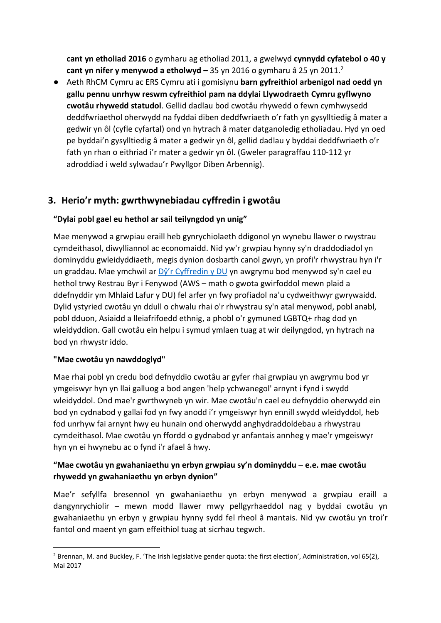**cant yn etholiad 2016** o gymharu ag etholiad 2011, a gwelwyd **cynnydd cyfatebol o 40 y cant yn nifer y menywod a etholwyd –** 35 yn 2016 o gymharu â 25 yn 2011.<sup>2</sup>

● Aeth RhCM Cymru ac ERS Cymru ati i gomisiynu **barn gyfreithiol arbenigol nad oedd yn gallu pennu unrhyw reswm cyfreithiol pam na ddylai Llywodraeth Cymru gyflwyno cwotâu rhywedd statudol**. Gellid dadlau bod cwotâu rhywedd o fewn cymhwysedd deddfwriaethol oherwydd na fyddai diben deddfwriaeth o'r fath yn gysylltiedig â mater a gedwir yn ôl (cyfle cyfartal) ond yn hytrach â mater datganoledig etholiadau. Hyd yn oed pe byddai'n gysylltiedig â mater a gedwir yn ôl, gellid dadlau y byddai deddfwriaeth o'r fath yn rhan o eithriad i'r mater a gedwir yn ôl. (Gweler paragraffau 110-112 yr adroddiad i weld sylwadau'r Pwyllgor Diben Arbennig).

# **3. Herio'r myth: gwrthwynebiadau cyffredin i gwotâu**

## **"Dylai pobl gael eu hethol ar sail teilyngdod yn unig"**

Mae menywod a grwpiau eraill heb gynrychiolaeth ddigonol yn wynebu llawer o rwystrau cymdeithasol, diwylliannol ac economaidd. Nid yw'r grwpiau hynny sy'n draddodiadol yn dominyddu gwleidyddiaeth, megis dynion dosbarth canol gwyn, yn profi'r rhwystrau hyn i'r un graddau. Mae ymchwil ar [Dŷ'r Cyffredin y DU](https://blogs.lse.ac.uk/politicsandpolicy/gender-quotas-do-not-pose-a-threat-to-merit-at-any-stage-of-the-political-process/) yn awgrymu bod menywod sy'n cael eu hethol trwy Restrau Byr i Fenywod (AWS – math o gwota gwirfoddol mewn plaid a ddefnyddir ym Mhlaid Lafur y DU) fel arfer yn fwy profiadol na'u cydweithwyr gwrywaidd. Dylid ystyried cwotâu yn ddull o chwalu rhai o'r rhwystrau sy'n atal menywod, pobl anabl, pobl dduon, Asiaidd a lleiafrifoedd ethnig, a phobl o'r gymuned LGBTQ+ rhag dod yn wleidyddion. Gall cwotâu ein helpu i symud ymlaen tuag at wir deilyngdod, yn hytrach na bod yn rhwystr iddo.

## **"Mae cwotâu yn nawddoglyd"**

Mae rhai pobl yn credu bod defnyddio cwotâu ar gyfer rhai grwpiau yn awgrymu bod yr ymgeiswyr hyn yn llai galluog a bod angen 'help ychwanegol' arnynt i fynd i swydd wleidyddol. Ond mae'r gwrthwyneb yn wir. Mae cwotâu'n cael eu defnyddio oherwydd ein bod yn cydnabod y gallai fod yn fwy anodd i'r ymgeiswyr hyn ennill swydd wleidyddol, heb fod unrhyw fai arnynt hwy eu hunain ond oherwydd anghydraddoldebau a rhwystrau cymdeithasol. Mae cwotâu yn ffordd o gydnabod yr anfantais annheg y mae'r ymgeiswyr hyn yn ei hwynebu ac o fynd i'r afael â hwy.

## **"Mae cwotâu yn gwahaniaethu yn erbyn grwpiau sy'n dominyddu – e.e. mae cwotâu rhywedd yn gwahaniaethu yn erbyn dynion"**

Mae'r sefyllfa bresennol yn gwahaniaethu yn erbyn menywod a grwpiau eraill a dangynrychiolir – mewn modd llawer mwy pellgyrhaeddol nag y byddai cwotâu yn gwahaniaethu yn erbyn y grwpiau hynny sydd fel rheol â mantais. Nid yw cwotâu yn troi'r fantol ond maent yn gam effeithiol tuag at sicrhau tegwch.

<sup>&</sup>lt;sup>2</sup> Brennan, M. and Buckley, F. 'The Irish legislative gender quota: the first election', Administration, vol 65(2), Mai 2017